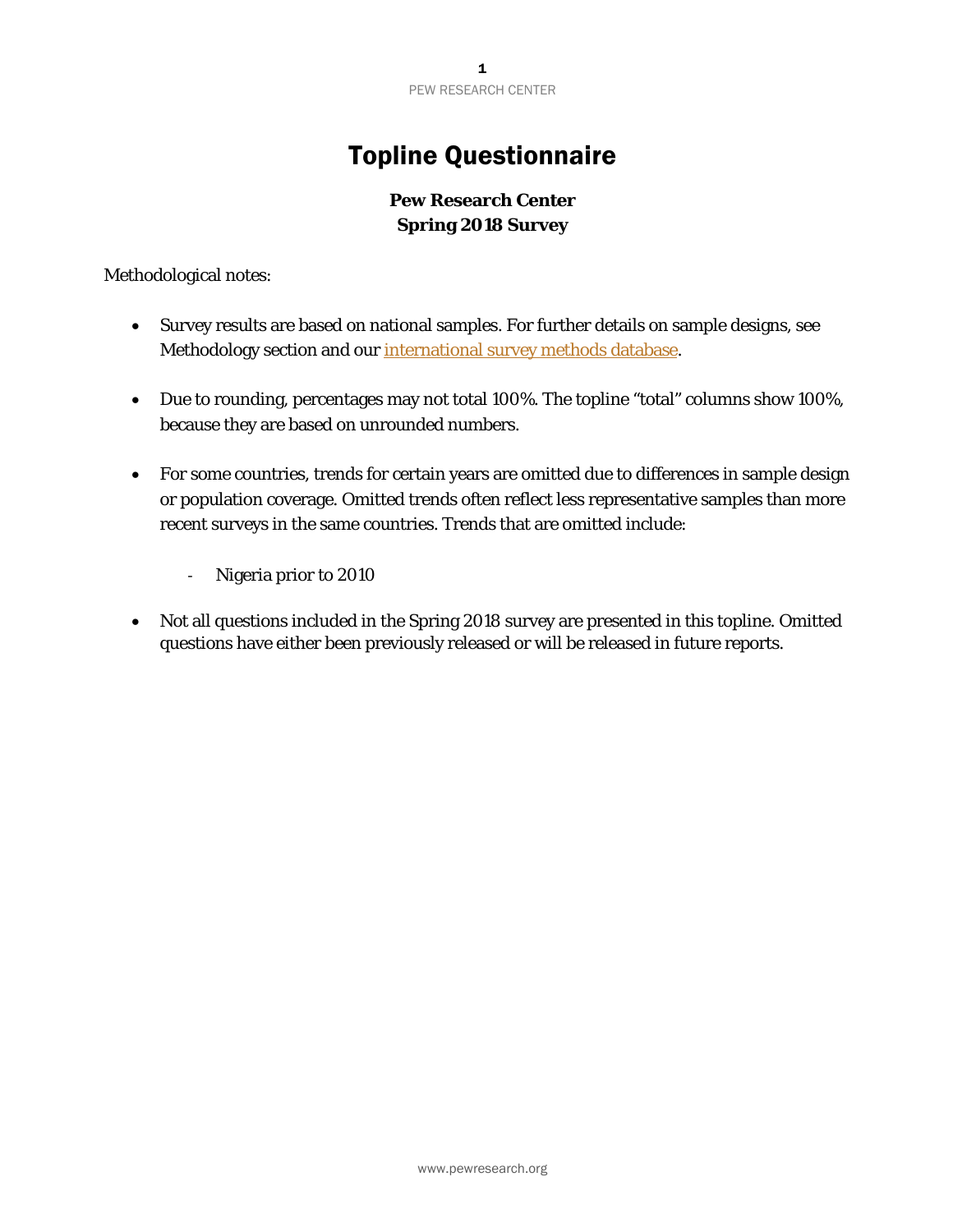## Topline Questionnaire

## **Pew Research Center Spring 2018 Survey**

Methodological notes:

- Survey results are based on national samples. For further details on sample designs, see Methodology section and our [international survey methods database.](http://www.pewresearch.org/methods/interactives/international-methodology/)
- Due to rounding, percentages may not total 100%. The topline "total" columns show 100%, because they are based on unrounded numbers.
- For some countries, trends for certain years are omitted due to differences in sample design or population coverage. Omitted trends often reflect less representative samples than more recent surveys in the same countries. Trends that are omitted include:
	- ‐ Nigeria prior to 2010
- Not all questions included in the Spring 2018 survey are presented in this topline. Omitted questions have either been previously released or will be released in future reports.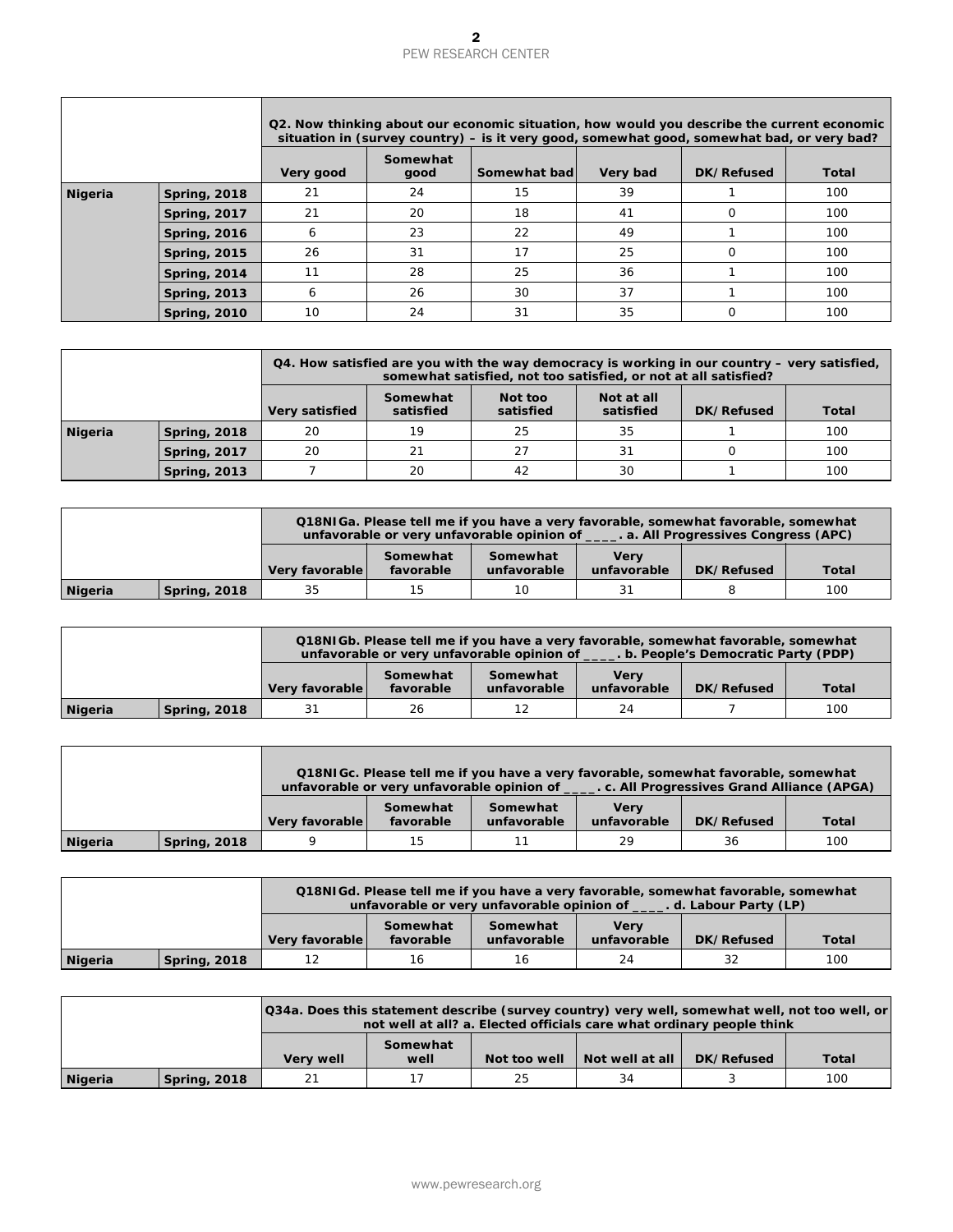## $\overline{\mathbf{2}}$ PEW RESEARCH CENTER

|                |                     |                      |                             | 2<br><b>PEW RESEARCH CENTER</b>                                                                                                                                                                            |                                  |                                     |                     |
|----------------|---------------------|----------------------|-----------------------------|------------------------------------------------------------------------------------------------------------------------------------------------------------------------------------------------------------|----------------------------------|-------------------------------------|---------------------|
|                |                     |                      |                             | Q2. Now thinking about our economic situation, how would you describe the current economic<br>situation in (survey country) - is it very good, somewhat good, somewhat bad, or very bad?                   |                                  |                                     |                     |
|                |                     | Very good            | Somewhat<br>good            | Somewhat bad                                                                                                                                                                                               | Very bad                         | DK/Refused                          | <b>Total</b>        |
| <b>Nigeria</b> | <b>Spring, 2018</b> | 21                   | 24                          | 15                                                                                                                                                                                                         | 39                               | 1                                   | 100                 |
|                | <b>Spring, 2017</b> | 21                   | 20                          | 18                                                                                                                                                                                                         | 41                               | 0                                   | 100                 |
|                | <b>Spring, 2016</b> | 6                    | 23                          | 22                                                                                                                                                                                                         | 49                               | $\mathbf{1}$                        | 100                 |
|                | <b>Spring, 2015</b> | 26                   | 31                          | 17                                                                                                                                                                                                         | 25                               | 0                                   | 100                 |
|                | <b>Spring, 2014</b> | 11                   | 28                          | 25                                                                                                                                                                                                         | 36                               | $\mathbf{1}$                        | 100                 |
|                | <b>Spring, 2013</b> | 6                    | 26                          | 30                                                                                                                                                                                                         | 37                               | 1                                   | 100                 |
|                | <b>Spring, 2010</b> | 10                   | 24                          | 31                                                                                                                                                                                                         | 35                               | $\mathbf 0$                         | 100                 |
|                |                     |                      |                             |                                                                                                                                                                                                            |                                  |                                     |                     |
|                |                     |                      |                             | $Q4$ . How satisfied are you with the way democracy is working in our country $-$ very satisfied,                                                                                                          |                                  |                                     |                     |
|                |                     |                      | Somewhat                    | somewhat satisfied, not too satisfied, or not at all satisfied?<br>Not too                                                                                                                                 | Not at all                       |                                     |                     |
|                |                     | Very satisfied       | satisfied                   | satisfied                                                                                                                                                                                                  | satisfied                        | <b>DK/Refused</b>                   | <b>Total</b>        |
| <b>Nigeria</b> | <b>Spring, 2018</b> | 20                   | 19                          | 25                                                                                                                                                                                                         | 35                               | $\mathbf{1}$                        | 100                 |
|                | <b>Spring, 2017</b> | 20                   | 21                          | 27                                                                                                                                                                                                         | 31                               | $\mathbf 0$                         | 100                 |
|                | <b>Spring, 2013</b> | $\overline{7}$       | 20                          | 42                                                                                                                                                                                                         | 30                               | 1                                   | 100                 |
|                |                     |                      |                             |                                                                                                                                                                                                            |                                  |                                     |                     |
|                |                     |                      |                             | Q18NIGa. Please tell me if you have a very favorable, somewhat favorable, somewhat<br>unfavorable or very unfavorable opinion of _____. a. All Progressives Congress (APC)                                 |                                  |                                     |                     |
|                |                     | Very favorable       | Somewhat<br>favorable       | Somewhat<br>unfavorable                                                                                                                                                                                    | <b>Very</b><br>unfavorable       | <b>DK/Refused</b>                   | <b>Total</b>        |
| <b>Nigeria</b> | <b>Spring, 2018</b> | 35                   | 15                          | 10                                                                                                                                                                                                         | 31                               | 8                                   | 100                 |
| <b>Nigeria</b> | <b>Spring, 2018</b> | Very favorable<br>31 | Somewhat<br>favorable<br>26 | Q18NIGb. Please tell me if you have a very favorable, somewhat favorable, somewhat<br>unfavorable or very unfavorable opinion of ____. b. People's Democratic Party (PDP)<br>Somewhat<br>unfavorable<br>12 | <b>Very</b><br>unfavorable<br>24 | <b>DK/Refused</b><br>$\overline{7}$ | <b>Total</b><br>100 |
|                |                     |                      |                             | Q18NIGc. Please tell me if you have a very favorable, somewhat favorable, somewhat                                                                                                                         |                                  |                                     |                     |
|                |                     |                      | Somewhat                    | unfavorable or very unfavorable opinion of _____. c. All Progressives Grand Alliance (APGA)<br>Somewhat                                                                                                    | <b>Very</b>                      |                                     |                     |
|                |                     | Very favorable<br>9  | favorable                   | unfavorable                                                                                                                                                                                                | unfavorable                      | <b>DK/Refused</b>                   | <b>Total</b>        |
| <b>Nigeria</b> | <b>Spring, 2018</b> |                      | 15                          | 11                                                                                                                                                                                                         | 29                               | 36                                  | 100                 |
|                |                     |                      |                             | Q18NIGd. Please tell me if you have a very favorable, somewhat favorable, somewhat                                                                                                                         |                                  |                                     |                     |
|                |                     |                      |                             | unfavorable or very unfavorable opinion of _____. d. Labour Party (LP)                                                                                                                                     |                                  |                                     |                     |
|                |                     | Very favorable       | Somewhat<br>favorable       | Somewhat<br>unfavorable                                                                                                                                                                                    | <b>Very</b><br>unfavorable       | DK/Refused                          | <b>Total</b>        |
| <b>Nigeria</b> | <b>Spring, 2018</b> | 12                   | 16                          | 16                                                                                                                                                                                                         | 24                               | 32                                  | 100                 |
|                |                     |                      |                             | Q34a. Does this statement describe (survey country) very well, somewhat well, not too well, or                                                                                                             |                                  |                                     |                     |
|                |                     |                      | Somewhat                    | not well at all? a. Elected officials care what ordinary people think                                                                                                                                      |                                  |                                     |                     |
|                |                     | Very well            | well                        | Not too well                                                                                                                                                                                               | Not well at all                  | DK/Refused                          | <b>Total</b>        |
| <b>Nigeria</b> | <b>Spring, 2018</b> | 21                   | 17                          | 25                                                                                                                                                                                                         | 34                               | 3                                   | 100                 |
|                |                     |                      |                             | www.pewresearch.org                                                                                                                                                                                        |                                  |                                     |                     |

|         |                     |                |                       | $Q_4$ . How satisfied are you with the way democracy is working in our country – very satisfied,<br>somewhat satisfied, not too satisfied, or not at all satisfied? |                         |            |       |
|---------|---------------------|----------------|-----------------------|---------------------------------------------------------------------------------------------------------------------------------------------------------------------|-------------------------|------------|-------|
|         |                     | Very satisfied | Somewhat<br>satisfied | Not too<br>satisfied                                                                                                                                                | Not at all<br>satisfied | DK/Refused | Total |
| Nigeria | <b>Spring, 2018</b> | 20             | 19                    | 25                                                                                                                                                                  | 35                      |            | 100   |
|         | <b>Spring, 2017</b> | 20             | 21                    | 27                                                                                                                                                                  | 31                      |            | 100   |
|         | <b>Spring, 2013</b> |                | 20                    | 42                                                                                                                                                                  | 30                      |            | 100   |

|         |                     |                | Q18NIGa. Please tell me if you have a very favorable, somewhat favorable, somewhat<br>unfavorable or very unfavorable opinion of ______. a. All Progressives Congress (APC) |                         |                            |            |              |  |  |
|---------|---------------------|----------------|-----------------------------------------------------------------------------------------------------------------------------------------------------------------------------|-------------------------|----------------------------|------------|--------------|--|--|
|         |                     | Very favorable | Somewhat<br>favorable                                                                                                                                                       | Somewhat<br>unfavorable | <b>Verv</b><br>unfavorable | DK/Refused | <b>Total</b> |  |  |
| Nigeria | <b>Spring, 2018</b> | 35             | 15                                                                                                                                                                          | 10                      |                            |            | 100          |  |  |

|         |                     |                |                       | Q18NIGb. Please tell me if you have a very favorable, somewhat favorable, somewhat<br>unfavorable or very unfavorable opinion of |                            | b. People's Democratic Party (PDP) |              |
|---------|---------------------|----------------|-----------------------|----------------------------------------------------------------------------------------------------------------------------------|----------------------------|------------------------------------|--------------|
|         |                     | Very favorable | Somewhat<br>favorable | Somewhat<br>unfavorable                                                                                                          | <b>Verv</b><br>unfavorable | DK/Refused                         | <b>Total</b> |
| Nigeria | <b>Spring, 2018</b> | 31             | 26                    |                                                                                                                                  | 24                         |                                    | 100          |

|         |                     |                |                       | Q18NIGC. Please tell me if you have a very favorable, somewhat favorable, somewhat<br>unfavorable or very unfavorable opinion of ______. c. All Progressives Grand Alliance (APGA) |                            |            |       |
|---------|---------------------|----------------|-----------------------|------------------------------------------------------------------------------------------------------------------------------------------------------------------------------------|----------------------------|------------|-------|
|         |                     | Very favorable | Somewhat<br>favorable | Somewhat<br>unfavorable                                                                                                                                                            | <b>Verv</b><br>unfavorable | DK/Refused | Total |
| Nigeria | <b>Spring, 2018</b> |                | 15                    | 11                                                                                                                                                                                 | 29                         | 36         | 100   |

Г

|         |                     |                | Q18NIGd. Please tell me if you have a very favorable, somewhat favorable, somewhat<br>unfavorable or very unfavorable opinion of ______. d. Labour Party (LP) |                         |                            |            |              |  |  |
|---------|---------------------|----------------|---------------------------------------------------------------------------------------------------------------------------------------------------------------|-------------------------|----------------------------|------------|--------------|--|--|
|         |                     | Very favorable | Somewhat<br>favorable                                                                                                                                         | Somewhat<br>unfavorable | <b>Verv</b><br>unfavorable | DK/Refused | <b>Total</b> |  |  |
| Nigeria | <b>Spring, 2018</b> | 12             | 16                                                                                                                                                            | 16                      | 24                         | 32         | 100          |  |  |

|         |                     |                  | [Q34a. Does this statement describe (survey country) very well, somewhat well, not too well, or<br>not well at all? a. Elected officials care what ordinary people think |              |                 |            |       |  |  |
|---------|---------------------|------------------|--------------------------------------------------------------------------------------------------------------------------------------------------------------------------|--------------|-----------------|------------|-------|--|--|
|         |                     | <b>Very well</b> | Somewhat<br>well                                                                                                                                                         | Not too well | Not well at all | DK/Refused | Total |  |  |
| Nigeria | <b>Spring, 2018</b> | 21               |                                                                                                                                                                          | 25           | 34              |            | 100   |  |  |